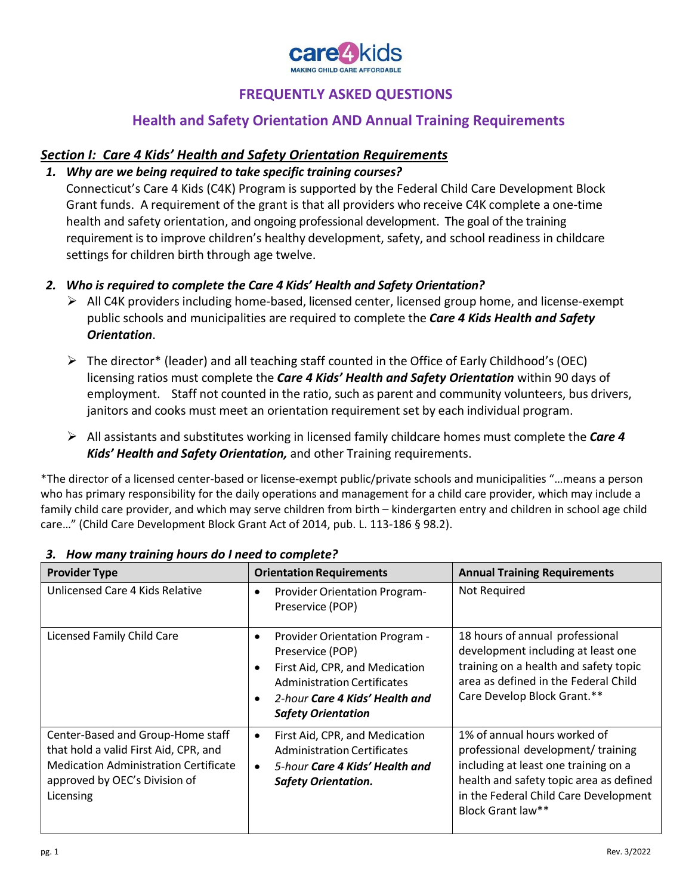

# **Health and Safety Orientation AND Annual Training Requirements**

## *Section I: Care 4 Kids' Health and Safety Orientation Requirements*

### *1. Why are we being required to take specific training courses?*

Connecticut's Care 4 Kids (C4K) Program is supported by the Federal Child Care Development Block Grant funds. A requirement of the grant is that all providers who receive C4K complete a one-time health and safety orientation, and ongoing professional development. The goal of the training requirement isto improve children's healthy development, safety, and school readiness in childcare settings for children birth through age twelve.

- *2. Who is required to complete the Care 4 Kids' Health and Safety Orientation?*
	- ➢ All C4K providers including home-based, licensed center, licensed group home, and license-exempt public schools and municipalities are required to complete the *Care 4 Kids Health and Safety Orientation*.
	- $\triangleright$  The director<sup>\*</sup> (leader) and all teaching staff counted in the Office of Early Childhood's (OEC) licensing ratios must complete the *Care 4 Kids' Health and Safety Orientation* within 90 days of employment. Staff not counted in the ratio, such as parent and community volunteers, bus drivers, janitors and cooks must meet an orientation requirement set by each individual program.
	- ➢ All assistants and substitutes working in licensed family childcare homes must complete the *Care 4 Kids' Health and Safety Orientation,* and other Training requirements.

\*The director of a licensed center-based or license-exempt public/private schools and municipalities "…means a person who has primary responsibility for the daily operations and management for a child care provider, which may include a family child care provider, and which may serve children from birth – kindergarten entry and children in school age child care…" (Child Care Development Block Grant Act of 2014, pub. L. 113-186 § 98.2).

| <b>Provider Type</b>                                                                                                                                                     | <b>Orientation Requirements</b>                                                                                                                                                                                          | <b>Annual Training Requirements</b>                                                                                                                                                                                 |
|--------------------------------------------------------------------------------------------------------------------------------------------------------------------------|--------------------------------------------------------------------------------------------------------------------------------------------------------------------------------------------------------------------------|---------------------------------------------------------------------------------------------------------------------------------------------------------------------------------------------------------------------|
| Unlicensed Care 4 Kids Relative                                                                                                                                          | <b>Provider Orientation Program-</b><br>$\bullet$<br>Preservice (POP)                                                                                                                                                    | Not Required                                                                                                                                                                                                        |
| Licensed Family Child Care                                                                                                                                               | Provider Orientation Program -<br>٠<br>Preservice (POP)<br>First Aid, CPR, and Medication<br>$\bullet$<br><b>Administration Certificates</b><br>2-hour Care 4 Kids' Health and<br>$\bullet$<br><b>Safety Orientation</b> | 18 hours of annual professional<br>development including at least one<br>training on a health and safety topic<br>area as defined in the Federal Child<br>Care Develop Block Grant.**                               |
| Center-Based and Group-Home staff<br>that hold a valid First Aid, CPR, and<br><b>Medication Administration Certificate</b><br>approved by OEC's Division of<br>Licensing | First Aid, CPR, and Medication<br>$\bullet$<br><b>Administration Certificates</b><br>5-hour Care 4 Kids' Health and<br>$\bullet$<br><b>Safety Orientation.</b>                                                           | 1% of annual hours worked of<br>professional development/ training<br>including at least one training on a<br>health and safety topic area as defined<br>in the Federal Child Care Development<br>Block Grant law** |

#### *3. How many training hours do I need to complete?*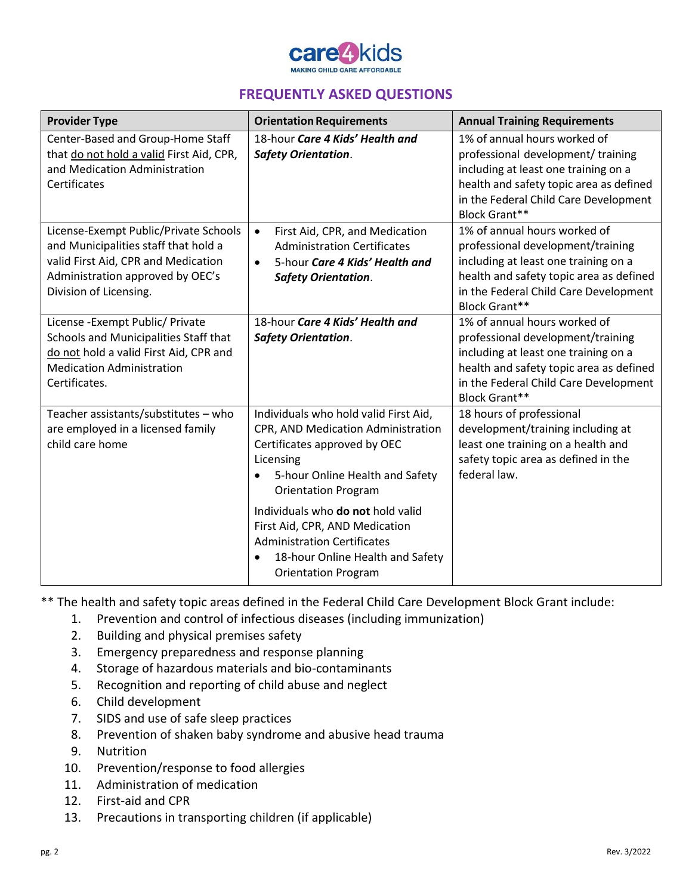

| <b>Orientation Requirements</b>                                                                                                                                                                                                                                                                                                                         | <b>Annual Training Requirements</b>                                                                                                                                                                                   |
|---------------------------------------------------------------------------------------------------------------------------------------------------------------------------------------------------------------------------------------------------------------------------------------------------------------------------------------------------------|-----------------------------------------------------------------------------------------------------------------------------------------------------------------------------------------------------------------------|
| 18-hour Care 4 Kids' Health and<br><b>Safety Orientation.</b>                                                                                                                                                                                                                                                                                           | 1% of annual hours worked of<br>professional development/ training<br>including at least one training on a<br>health and safety topic area as defined<br>in the Federal Child Care Development<br>Block Grant**       |
| First Aid, CPR, and Medication<br>$\bullet$<br><b>Administration Certificates</b><br>5-hour Care 4 Kids' Health and<br>$\bullet$<br><b>Safety Orientation.</b>                                                                                                                                                                                          | 1% of annual hours worked of<br>professional development/training<br>including at least one training on a<br>health and safety topic area as defined<br>in the Federal Child Care Development<br><b>Block Grant**</b> |
| 18-hour Care 4 Kids' Health and<br><b>Safety Orientation.</b>                                                                                                                                                                                                                                                                                           | 1% of annual hours worked of<br>professional development/training<br>including at least one training on a<br>health and safety topic area as defined<br>in the Federal Child Care Development<br><b>Block Grant**</b> |
| Individuals who hold valid First Aid,<br>CPR, AND Medication Administration<br>Certificates approved by OEC<br>Licensing<br>5-hour Online Health and Safety<br><b>Orientation Program</b><br>Individuals who do not hold valid<br>First Aid, CPR, AND Medication<br><b>Administration Certificates</b><br>18-hour Online Health and Safety<br>$\bullet$ | 18 hours of professional<br>development/training including at<br>least one training on a health and<br>safety topic area as defined in the<br>federal law.                                                            |
|                                                                                                                                                                                                                                                                                                                                                         | <b>Orientation Program</b>                                                                                                                                                                                            |

\*\* The health and safety topic areas defined in the Federal Child Care Development Block Grant include:

- 1. Prevention and control of infectious diseases (including immunization)
- 2. Building and physical premises safety
- 3. Emergency preparedness and response planning
- 4. Storage of hazardous materials and bio-contaminants
- 5. Recognition and reporting of child abuse and neglect
- 6. Child development
- 7. SIDS and use of safe sleep practices
- 8. Prevention of shaken baby syndrome and abusive head trauma
- 9. Nutrition
- 10. Prevention/response to food allergies
- 11. Administration of medication
- 12. First-aid and CPR
- 13. Precautions in transporting children (if applicable)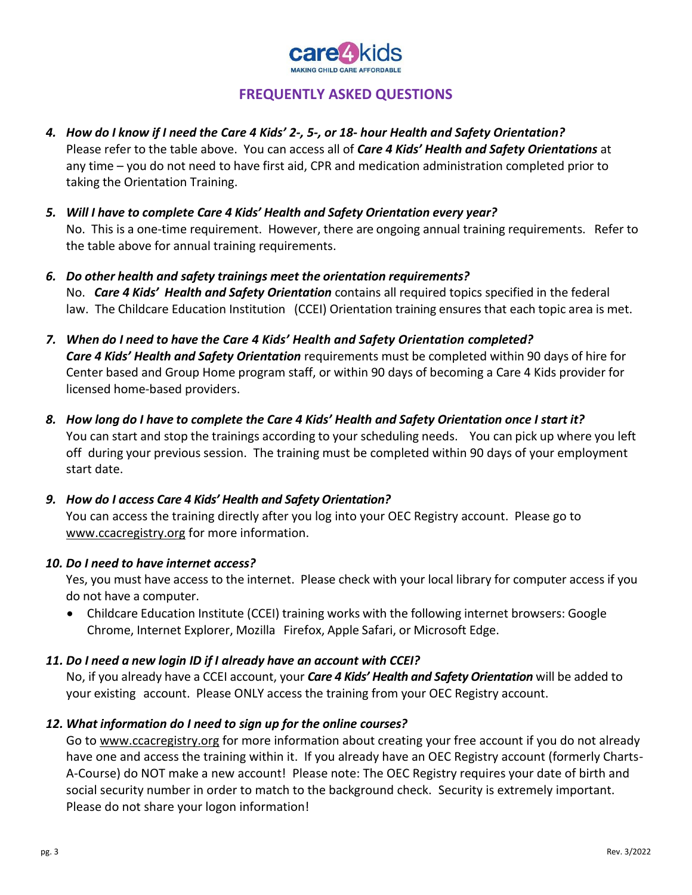

- *4. How do I know if I need the Care 4 Kids' 2-, 5-, or 18- hour Health and Safety Orientation?* Please refer to the table above. You can access all of *Care 4 Kids' Health and Safety Orientations* at any time – you do not need to have first aid, CPR and medication administration completed prior to taking the Orientation Training.
- *5. Will I have to complete Care 4 Kids' Health and Safety Orientation every year?* No. This is a one-time requirement. However, there are ongoing annual training requirements. Refer to the table above for annual training requirements.
- *6. Do other health and safety trainings meet the orientation requirements?* No. *Care 4 Kids' Health and Safety Orientation* contains all required topics specified in the federal law. The Childcare Education Institution (CCEI) Orientation training ensures that each topic area is met.
- *7. When do I need to have the Care 4 Kids' Health and Safety Orientation completed? Care 4 Kids' Health and Safety Orientation* requirements must be completed within 90 days of hire for Center based and Group Home program staff, or within 90 days of becoming a Care 4 Kids provider for licensed home-based providers.
- *8. How long do I have to complete the Care 4 Kids' Health and Safety Orientation once I start it?* You can start and stop the trainings according to your scheduling needs. You can pick up where you left off during your previous session. The training must be completed within 90 days of your employment start date.
- *9. How do I access Care 4 Kids' Health and Safety Orientation?* You can access the training directly after you log into your OEC Registry account. Please go to [www.ccacregistry.org](http://www.ccacregistry.org/) for more information.

### *10. Do I need to have internet access?*

Yes, you must have access to the internet. Please check with your local library for computer access if you do not have a computer.

• Childcare Education Institute (CCEI) training works with the following internet browsers: Google Chrome, Internet Explorer, Mozilla Firefox, Apple Safari, or Microsoft Edge.

### *11. Do I need a new login ID if I already have an account with CCEI?*

No, if you already have a CCEI account, your *Care 4 Kids' Health and Safety Orientation* will be added to your existing account. Please ONLY access the training from your OEC Registry account.

### *12. What information do I need to sign up for the online courses?*

Go to [www.ccacregistry.org](http://www.ccacregistry.org/) for more information about creating your free account if you do not already have one and access the training within it. If you already have an OEC Registry account (formerly Charts-A-Course) do NOT make a new account! Please note: The OEC Registry requires your date of birth and social security number in order to match to the background check. Security is extremely important. Please do not share your logon information!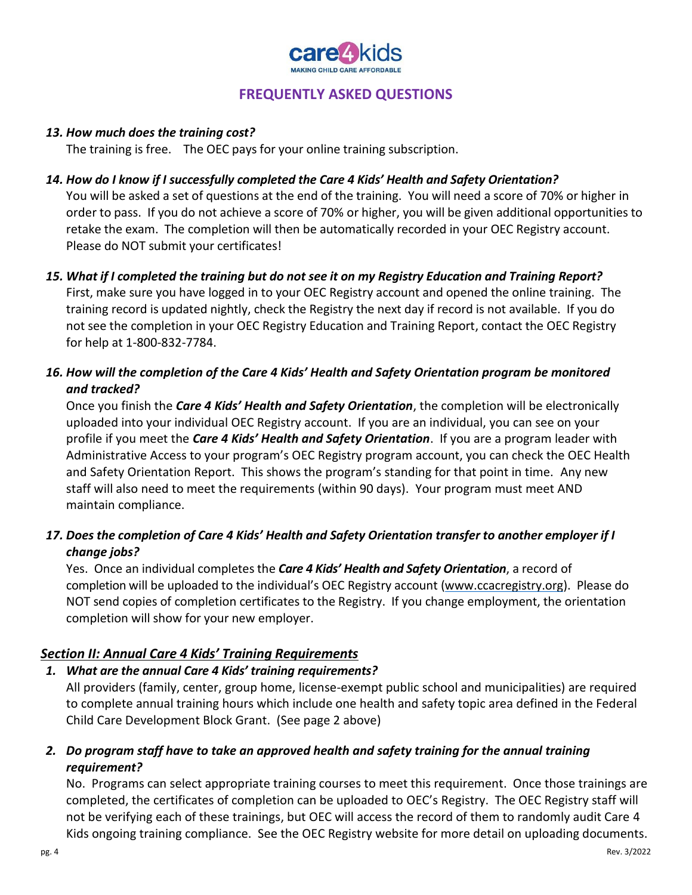

### *13. How much does the training cost?*

The training is free. The OEC pays for your online training subscription.

### *14. How do I know if I successfully completed the Care 4 Kids' Health and Safety Orientation?*

You will be asked a set of questions at the end of the training. You will need a score of 70% or higher in order to pass. If you do not achieve a score of 70% or higher, you will be given additional opportunities to retake the exam. The completion will then be automatically recorded in your OEC Registry account. Please do NOT submit your certificates!

### *15. What if I completed the training but do not see it on my Registry Education and Training Report?*

First, make sure you have logged in to your OEC Registry account and opened the online training. The training record is updated nightly, check the Registry the next day if record is not available. If you do not see the completion in your OEC Registry Education and Training Report, contact the OEC Registry for help at 1-800-832-7784.

## *16. How will the completion of the Care 4 Kids' Health and Safety Orientation program be monitored and tracked?*

Once you finish the *Care 4 Kids' Health and Safety Orientation*, the completion will be electronically uploaded into your individual OEC Registry account. If you are an individual, you can see on your profile if you meet the *Care 4 Kids' Health and Safety Orientation*. If you are a program leader with Administrative Access to your program's OEC Registry program account, you can check the OEC Health and Safety Orientation Report. This shows the program's standing for that point in time. Any new staff will also need to meet the requirements (within 90 days). Your program must meet AND maintain compliance.

## *17. Does the completion of Care 4 Kids' Health and Safety Orientation transfer to another employer if I change jobs?*

Yes. Once an individual completes the *Care 4 Kids' Health and Safety Orientation*, a record of completion will be uploaded to the individual's OEC Registry account [\(www.ccacregistry.org\)](http://www.ccacregistry.org/). Please do NOT send copies of completion certificates to the Registry. If you change employment, the orientation completion will show for your new employer.

## *Section II: Annual Care 4 Kids' Training Requirements*

## *1. What are the annual Care 4 Kids' training requirements?*

All providers (family, center, group home, license-exempt public school and municipalities) are required to complete annual training hours which include one health and safety topic area defined in the Federal Child Care Development Block Grant. (See page 2 above)

## *2. Do program staff have to take an approved health and safety training for the annual training requirement?*

No. Programs can select appropriate training courses to meet this requirement. Once those trainings are completed, the certificates of completion can be uploaded to OEC's Registry. The OEC Registry staff will not be verifying each of these trainings, but OEC will access the record of them to randomly audit Care 4 Kids ongoing training compliance. See the OEC Registry website for more detail on uploading documents.